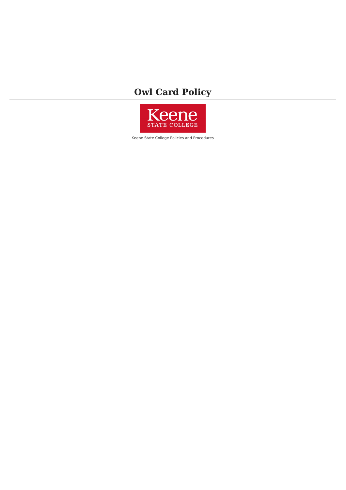# **Owl Card Policy**



Keene State College Policies and Procedures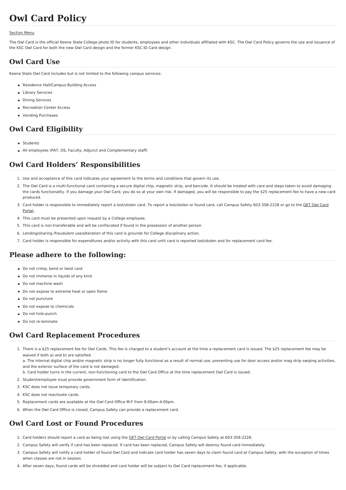## **Owl Card Policy**

#### [Section](file:///var/www/vhosts/pw.keene.edu/public_html/ksc/assets/cache/PdfCache/16569701703015.html#aside) Menu

The Owl Card is the official Keene State College photo ID for students, employees and other individuals affiliated with KSC. The Owl Card Policy governs the use and issuance of the KSC Owl Card for both the new Owl Card design and the former KSC ID Card design.

#### **Owl Card Use**

Keene State Owl Card includes but is not limited to the following campus services:

- Residence Hall/Campus Building Access
- **•** Library Services
- **•** Dining Services
- Recreation Center Access
- Vending Purchases

#### **Owl Card Eligibility**

- Students
- All employees (PAT, OS, Faculty, Adjunct and Complementary staff)

### **Owl Card Holders' Responsibilities**

- 1. Use and acceptance of this card indicates your agreement to the terms and conditions that govern its use.
- 2. The Owl Card is a multi-functional card containing a secure digital chip, magnetic strip, and barcode. It should be treated with care and steps taken to avoid damaging the cards functionality. If you damage your Owl Card, you do so at your own risk. If damaged, you will be responsible to pay the \$25 replacement fee to have a new card produced.
- 3. Card holder is responsible to immediately report a lost/stolen card. To report a lost/stolen or found card, call Campus Safety [603-358-2228](https://get.cbord.com/owlcard/full/prelogin.php) or go to the GET Owl Card Portal.
- 4. This card must be presented upon request by a College employee.
- 5. This card is non-transferable and will be confiscated if found in the possession of another person.
- 6. Lending/sharing /fraudulent use/alteration of this card is grounds for College disciplinary action.
- 7. Card holder is responsible for expenditures and/or activity with this card until card is reported lost/stolen and for replacement card fee.

#### **Please adhere to the following:**

- Do not crimp, bend or twist card
- Do not immerse in liquids of any kind
- Do not machine wash
- Do not expose to extreme heat or open flame
- Do not puncture
- Do not expose to chemicals
- Do not hole-punch
- Do not re-laminate

#### **Owl Card Replacement Procedures**

1. There is a \$25 replacement fee for Owl Cards. This fee is charged to a student's account at the time a replacement card is issued. The \$25 replacement fee may be waived if both a) and b) are satisfied.

a. The internal digital chip and/or magnetic strip is no longer fully functional as a result of normal use, preventing use for door access and/or mag strip swiping activities, and the exterior surface of the card is not damaged.

b. Card holder turns in the current, non-functioning card to the Owl Card Office at the time replacement Owl Card is issued.

- 2. Student/employee must provide government form of identification.
- 3. KSC does not issue temporary cards.
- 4. KSC does not reactivate cards.
- 5. Replacement cards are available at the Owl Card Office M-F from 8:00am-4:00pm.
- 6. When the Owl Card Office is closed, Campus Safety can provide a replacement card.

### **Owl Card Lost or Found Procedures**

- 1. Card holders should report a card as being lost using the GET Owl Card [Portal](https://get.cbord.com/owlcard/full/prelogin.php) or by calling Campus Safety at 603-358-2228.
- 2. Campus Safety will verify if card has been replaced. If card has been replaced, Campus Safety will destroy found card immediately.
- 3. Campus Safety will notify a card holder of found Owl Card and indicate card holder has seven days to claim found card at Campus Safety, with the exception of times when classes are not in session.
- 4. After seven days, found cards will be shredded and card holder will be subject to Owl Card replacement fee, if applicable.